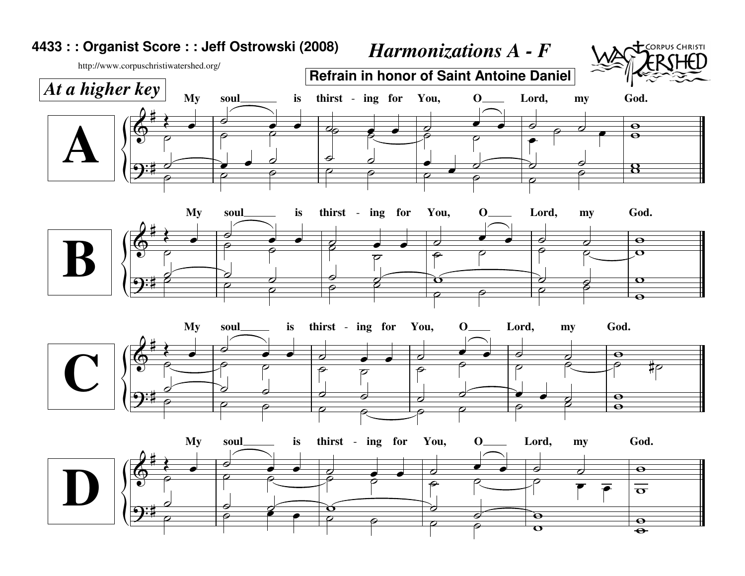